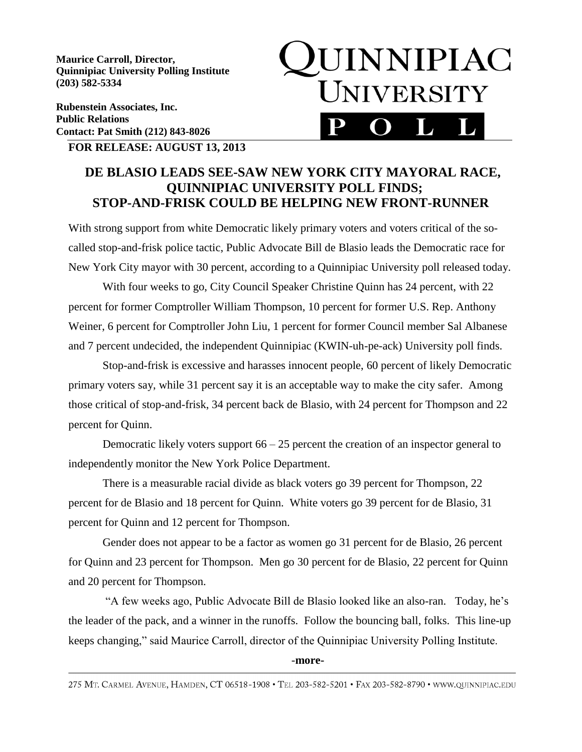**Maurice Carroll, Director, Quinnipiac University Polling Institute (203) 582-5334**

**Rubenstein Associates, Inc. Public Relations Contact: Pat Smith (212) 843-8026**



**FOR RELEASE: AUGUST 13, 2013**

## **DE BLASIO LEADS SEE-SAW NEW YORK CITY MAYORAL RACE, QUINNIPIAC UNIVERSITY POLL FINDS; STOP-AND-FRISK COULD BE HELPING NEW FRONT-RUNNER**

With strong support from white Democratic likely primary voters and voters critical of the socalled stop-and-frisk police tactic, Public Advocate Bill de Blasio leads the Democratic race for New York City mayor with 30 percent, according to a Quinnipiac University poll released today.

With four weeks to go, City Council Speaker Christine Quinn has 24 percent, with 22 percent for former Comptroller William Thompson, 10 percent for former U.S. Rep. Anthony Weiner, 6 percent for Comptroller John Liu, 1 percent for former Council member Sal Albanese and 7 percent undecided, the independent Quinnipiac (KWIN-uh-pe-ack) University poll finds.

Stop-and-frisk is excessive and harasses innocent people, 60 percent of likely Democratic primary voters say, while 31 percent say it is an acceptable way to make the city safer. Among those critical of stop-and-frisk, 34 percent back de Blasio, with 24 percent for Thompson and 22 percent for Quinn.

Democratic likely voters support  $66 - 25$  percent the creation of an inspector general to independently monitor the New York Police Department.

There is a measurable racial divide as black voters go 39 percent for Thompson, 22 percent for de Blasio and 18 percent for Quinn. White voters go 39 percent for de Blasio, 31 percent for Quinn and 12 percent for Thompson.

Gender does not appear to be a factor as women go 31 percent for de Blasio, 26 percent for Quinn and 23 percent for Thompson. Men go 30 percent for de Blasio, 22 percent for Quinn and 20 percent for Thompson.

"A few weeks ago, Public Advocate Bill de Blasio looked like an also-ran. Today, he's the leader of the pack, and a winner in the runoffs. Follow the bouncing ball, folks. This line-up keeps changing," said Maurice Carroll, director of the Quinnipiac University Polling Institute.

## -**more-**

275 MT. CARMEL AVENUE, HAMDEN, CT 06518-1908 · TEL 203-582-5201 · FAX 203-582-8790 · WWW.QUINNIPIAC.EDU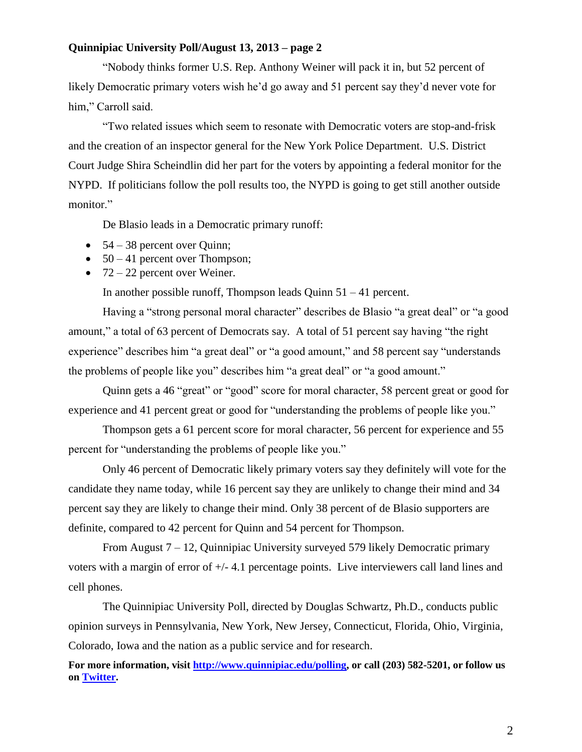## **Quinnipiac University Poll/August 13, 2013 – page 2**

"Nobody thinks former U.S. Rep. Anthony Weiner will pack it in, but 52 percent of likely Democratic primary voters wish he'd go away and 51 percent say they'd never vote for him," Carroll said.

"Two related issues which seem to resonate with Democratic voters are stop-and-frisk and the creation of an inspector general for the New York Police Department. U.S. District Court Judge Shira Scheindlin did her part for the voters by appointing a federal monitor for the NYPD. If politicians follow the poll results too, the NYPD is going to get still another outside monitor."

De Blasio leads in a Democratic primary runoff:

- $\bullet$  54 38 percent over Quinn;
- $\bullet$  50 41 percent over Thompson;
- $\bullet$  72 22 percent over Weiner.

In another possible runoff, Thompson leads Quinn 51 – 41 percent.

Having a "strong personal moral character" describes de Blasio "a great deal" or "a good amount," a total of 63 percent of Democrats say. A total of 51 percent say having "the right experience" describes him "a great deal" or "a good amount," and 58 percent say "understands the problems of people like you" describes him "a great deal" or "a good amount."

Quinn gets a 46 "great" or "good" score for moral character, 58 percent great or good for experience and 41 percent great or good for "understanding the problems of people like you."

Thompson gets a 61 percent score for moral character, 56 percent for experience and 55 percent for "understanding the problems of people like you."

Only 46 percent of Democratic likely primary voters say they definitely will vote for the candidate they name today, while 16 percent say they are unlikely to change their mind and 34 percent say they are likely to change their mind. Only 38 percent of de Blasio supporters are definite, compared to 42 percent for Quinn and 54 percent for Thompson.

From August 7 – 12, Quinnipiac University surveyed 579 likely Democratic primary voters with a margin of error of +/- 4.1 percentage points. Live interviewers call land lines and cell phones.

 The Quinnipiac University Poll, directed by Douglas Schwartz, Ph.D., conducts public opinion surveys in Pennsylvania, New York, New Jersey, Connecticut, Florida, Ohio, Virginia, Colorado, Iowa and the nation as a public service and for research.

**For more information, visit [http://www.quinnipiac.edu/polling,](http://www.quinnipiac.edu/polling) or call (203) 582-5201, or follow us on [Twitter.](http://twitter.com/QuinnipiacPoll)**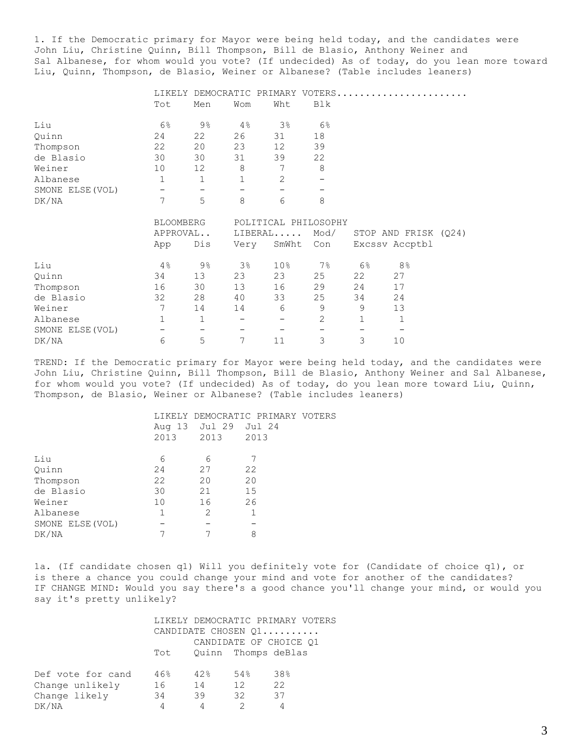1. If the Democratic primary for Mayor were being held today, and the candidates were John Liu, Christine Quinn, Bill Thompson, Bill de Blasio, Anthony Weiner and Sal Albanese, for whom would you vote? (If undecided) As of today, do you lean more toward Liu, Quinn, Thompson, de Blasio, Weiner or Albanese? (Table includes leaners)

|                  |                   |                |                   |                | LIKELY DEMOCRATIC PRIMARY VOTERS |             |                      |  |
|------------------|-------------------|----------------|-------------------|----------------|----------------------------------|-------------|----------------------|--|
|                  | Tot               | Men            | Wom               | Wht            | Blk                              |             |                      |  |
| Liu              | $6\%$             | $9\%$          | 4%                | 3 <sup>°</sup> | 6 <sup>°</sup>                   |             |                      |  |
| Quinn            | 24                | 22             | 26                | 31             | 18                               |             |                      |  |
| Thompson         | 22                | 20             | 23                | 12             | 39                               |             |                      |  |
| de Blasio        | 30                | 30             | 31                | 39             | 22                               |             |                      |  |
| Weiner           | 10                | 12             | $\,8\,$           | 7              | $8\,$                            |             |                      |  |
| Albanese         | $\mathbf 1$       | $\mathbf{1}$   | $1\,$             | $\mathbf{2}$   |                                  |             |                      |  |
| SMONE ELSE (VOL) | $\qquad \qquad -$ |                |                   |                |                                  |             |                      |  |
| DK/NA            | 7                 | 5              | 8                 | 6              | 8                                |             |                      |  |
|                  |                   |                |                   |                |                                  |             |                      |  |
|                  | <b>BLOOMBERG</b>  |                |                   |                | POLITICAL PHILOSOPHY             |             |                      |  |
|                  | APPROVAL          |                |                   | LIBERAL        | Mod/                             |             | STOP AND FRISK (Q24) |  |
|                  | App               | Dis            | Very              | SmWht          | Con                              |             | Excssv Accptbl       |  |
| Liu              | 4%                | $9\frac{6}{6}$ | 3 <sup>°</sup>    | 10%            | $7\%$                            | $6\%$       | 8 <sup>°</sup>       |  |
| Quinn            | 34                | 13             | 23                | 23             | 25                               | 22          | 27                   |  |
| Thompson         | 16                | 30             | 13                | 16             | 29                               | 24          | 17                   |  |
| de Blasio        | 32                | 28             | 40                | 33             | 25                               | 34          | 24                   |  |
| Weiner           | 7                 | 14             | 14                | 6              | 9                                | 9           | 13                   |  |
| Albanese         | $\mathbf{1}$      | $\mathbf{1}$   | $\qquad \qquad$   | -              | $\mathbf{2}$                     | $\mathbf 1$ | $\mathbf 1$          |  |
| SMONE ELSE (VOL) | —                 | 5              | $\qquad \qquad -$ |                |                                  |             |                      |  |

TREND: If the Democratic primary for Mayor were being held today, and the candidates were John Liu, Christine Quinn, Bill Thompson, Bill de Blasio, Anthony Weiner and Sal Albanese, for whom would you vote? (If undecided) As of today, do you lean more toward Liu, Quinn, Thompson, de Blasio, Weiner or Albanese? (Table includes leaners)

|                  |      |                      | LIKELY DEMOCRATIC PRIMARY VOTERS |  |
|------------------|------|----------------------|----------------------------------|--|
|                  |      | Aug 13 Jul 29 Jul 24 |                                  |  |
|                  | 2013 | 2013                 | 2013                             |  |
|                  |      |                      |                                  |  |
| Liu              | 6    | 6                    |                                  |  |
| Quinn            | 24   | 27                   | 22                               |  |
| Thompson         | 22   | 20                   | 20                               |  |
| de Blasio        | 30   | 21                   | 15                               |  |
| Weiner           | 10   | 16                   | 26                               |  |
| Albanese         | 1    | 2                    | 1                                |  |
| SMONE ELSE (VOL) |      |                      |                                  |  |
| DK/NA            |      |                      | 8                                |  |

1a. (If candidate chosen q1) Will you definitely vote for (Candidate of choice q1), or is there a chance you could change your mind and vote for another of the candidates? IF CHANGE MIND: Would you say there's a good chance you'll change your mind, or would you say it's pretty unlikely?

|                   |                        |     |                     | LIKELY DEMOCRATIC PRIMARY VOTERS |  |  |  |
|-------------------|------------------------|-----|---------------------|----------------------------------|--|--|--|
|                   |                        |     |                     | CANDIDATE CHOSEN Q1              |  |  |  |
|                   | CANDIDATE OF CHOICE 01 |     |                     |                                  |  |  |  |
|                   | Tot                    |     | Quinn Thomps deBlas |                                  |  |  |  |
|                   |                        |     |                     |                                  |  |  |  |
| Def vote for cand | 46%                    | 42% | 54%                 | 38%                              |  |  |  |
| Change unlikely   | 16                     | 14  | 12 <sup>°</sup>     | 22                               |  |  |  |
| Change likely     | 34                     | 39  | 32                  | 37                               |  |  |  |
| DK/NA             | 4                      | 4   |                     |                                  |  |  |  |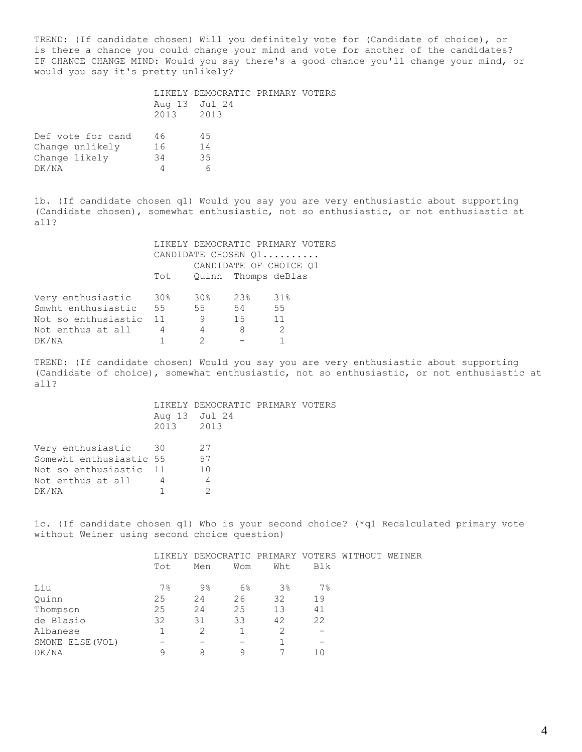TREND: (If candidate chosen) Will you definitely vote for (Candidate of choice), or is there a chance you could change your mind and vote for another of the candidates? IF CHANCE CHANGE MIND: Would you say there's a good chance you'll change your mind, or would you say it's pretty unlikely?

|                   |           | LIKELY DEMOCRATIC PRIMARY VOTERS |  |
|-------------------|-----------|----------------------------------|--|
|                   |           | Aug 13 Jul 24                    |  |
|                   | 2013 2013 |                                  |  |
| Def vote for cand | 46        | 45                               |  |
| Change unlikely   | 16        | 14                               |  |

Change unlikely Change likely 34 35  $DK/NA$  6

1b. (If candidate chosen q1) Would you say you are very enthusiastic about supporting (Candidate chosen), somewhat enthusiastic, not so enthusiastic, or not enthusiastic at all?

|                     |                        |                 |                     | LIKELY DEMOCRATIC PRIMARY VOTERS |  |  |
|---------------------|------------------------|-----------------|---------------------|----------------------------------|--|--|
|                     |                        |                 |                     | CANDIDATE CHOSEN Q1              |  |  |
|                     | CANDIDATE OF CHOICE Q1 |                 |                     |                                  |  |  |
|                     | Tot                    |                 | Quinn Thomps deBlas |                                  |  |  |
|                     |                        |                 |                     |                                  |  |  |
| Very enthusiastic   | - 30%                  | 30 <sub>8</sub> | 23%                 | 31%                              |  |  |
| Smwht enthusiastic  | 55                     | 55              | 54                  | 55                               |  |  |
| Not so enthusiastic | 11                     | 9               | 15                  | 11                               |  |  |
| Not enthus at all   | 4                      | 4               | 8                   | $\mathcal{P}$                    |  |  |
| DK/NA               |                        |                 |                     |                                  |  |  |

TREND: (If candidate chosen) Would you say you are very enthusiastic about supporting (Candidate of choice), somewhat enthusiastic, not so enthusiastic, or not enthusiastic at all?

> LIKELY DEMOCRATIC PRIMARY VOTERS Aug 13 Jul 24 2013 2013

| Very enthusiastic       | 30 | 27  |
|-------------------------|----|-----|
| Somewht enthusiastic 55 |    | 57  |
| Not so enthusiastic     | 11 | 1 N |
| Not enthus at all       |    | 4   |
| DK/NA                   |    |     |

1c. (If candidate chosen q1) Who is your second choice? (\*q1 Recalculated primary vote without Weiner using second choice question)

|                  |       | LIKELY DEMOCRATIC PRIMARY VOTERS WITHOUT WEINER |     |                |     |  |
|------------------|-------|-------------------------------------------------|-----|----------------|-----|--|
|                  | Tot   | Men                                             | Wom | Wht            | Blk |  |
| Liu              | $7\%$ | $9\%$                                           | 6%  | 3 <sup>°</sup> | 7%  |  |
| Ouinn            | 25    | 24                                              | 26  | 32             | 19  |  |
| Thompson         | 25    | 24                                              | 25  | 13             | 41  |  |
| de Blasio        | 32    | 31                                              | 33  | 42             | 22  |  |
| Albanese         |       | $\mathcal{L}$                                   |     | 2              |     |  |
| SMONE ELSE (VOL) |       |                                                 |     |                |     |  |
| DK/NA            | 9     | 8                                               | 9   |                |     |  |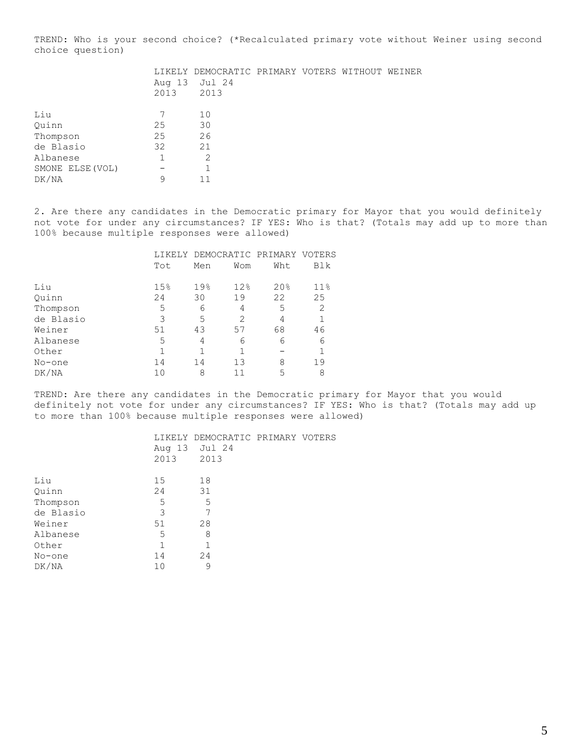TREND: Who is your second choice? (\*Recalculated primary vote without Weiner using second choice question)

|                  |      | LIKELY DEMOCRATIC PRIMARY VOTERS WITHOUT WEINER |  |  |
|------------------|------|-------------------------------------------------|--|--|
|                  |      | Aug 13 Jul 24                                   |  |  |
|                  | 2013 | 2013                                            |  |  |
| Liu              | 7    |                                                 |  |  |
|                  |      | 10                                              |  |  |
| Ouinn            | 25   | 30                                              |  |  |
| Thompson         | 25   | 26                                              |  |  |
| de Blasio        | 32   | 21                                              |  |  |
| Albanese         |      | 2                                               |  |  |
| SMONE ELSE (VOL) |      |                                                 |  |  |
| DK/NA            | 9    | 11                                              |  |  |

2. Are there any candidates in the Democratic primary for Mayor that you would definitely not vote for under any circumstances? IF YES: Who is that? (Totals may add up to more than 100% because multiple responses were allowed)

| Tot | Men | Wom | Wht | Blk                              |
|-----|-----|-----|-----|----------------------------------|
| 15% | 19% | 12% | 20% | $11\%$                           |
| 24  | 30  | 19  | 22  | 25                               |
| 5   | 6   | 4   | 5   | 2                                |
| 3   | 5   | 2   | 4   |                                  |
| 51  | 43  | 57  | 68  | 46                               |
| 5   | 4   | 6   | 6   | 6                                |
|     |     |     |     |                                  |
| 14  | 14  | 13  | 8   | 19                               |
| 10  | 8   |     | 5   | 8                                |
|     |     |     |     | LIKELY DEMOCRATIC PRIMARY VOTERS |

Quinn Thompson de Blasio Albanese

 $DK/NA$ 

TREND: Are there any candidates in the Democratic primary for Mayor that you would definitely not vote for under any circumstances? IF YES: Who is that? (Totals may add up to more than 100% because multiple responses were allowed)

|           | 2013 | LIKELY DEMOCRATIC PRIMARY VOTERS<br>Aug 13 Jul 24<br>2013 |  |
|-----------|------|-----------------------------------------------------------|--|
| Liu       | 15   | 18                                                        |  |
| Quinn     | 24   | 31                                                        |  |
| Thompson  | 5    | 5                                                         |  |
| de Blasio | 3    |                                                           |  |
| Weiner    | 51   | 28                                                        |  |
| Albanese  | 5    | 8                                                         |  |
| Other     | 1    |                                                           |  |
| No-one    | 14   | 24                                                        |  |
| DK/NA     | 10   | 9                                                         |  |
|           |      |                                                           |  |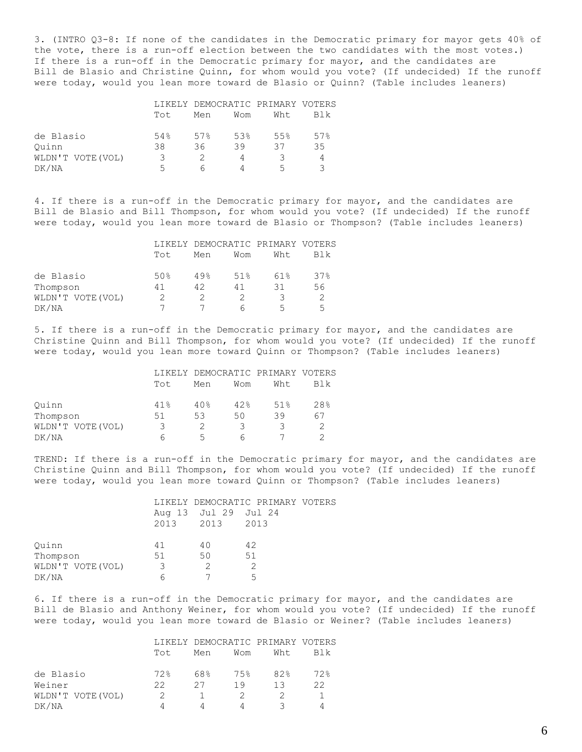3. (INTRO Q3-8: If none of the candidates in the Democratic primary for mayor gets 40% of the vote, there is a run-off election between the two candidates with the most votes.) If there is a run-off in the Democratic primary for mayor, and the candidates are Bill de Blasio and Christine Quinn, for whom would you vote? (If undecided) If the runoff were today, would you lean more toward de Blasio or Quinn? (Table includes leaners)

|                  |      | LIKELY DEMOCRATIC PRIMARY VOTERS |     |      |     |  |
|------------------|------|----------------------------------|-----|------|-----|--|
|                  | Tot. | Men                              | Wom | Wht. | Blk |  |
| de Blasio        | 54%  | 57%                              | 53% | 5.5% | 57% |  |
| Ouinn            | 38   | 36                               | 39  | 37   | 35  |  |
| WLDN'T VOTE(VOL) | 3    |                                  |     |      | 4   |  |
| DK/NA            | 5    |                                  |     | 5    |     |  |

4. If there is a run-off in the Democratic primary for mayor, and the candidates are Bill de Blasio and Bill Thompson, for whom would you vote? (If undecided) If the runoff were today, would you lean more toward de Blasio or Thompson? (Table includes leaners)

|                   |                 | LIKELY DEMOCRATIC PRIMARY VOTERS |     |     |     |  |
|-------------------|-----------------|----------------------------------|-----|-----|-----|--|
|                   | Tot.            | Men                              | Wom | Wht | Blk |  |
| de Blasio         | 50 <sub>8</sub> | 49%                              | 51% | 61% | 37% |  |
| Thompson          | 41              | 42                               | 41  | 31  | 56  |  |
| WLDN'T VOTE (VOL) |                 |                                  |     |     |     |  |
| DK/NA             |                 |                                  | h   | 5   | ᄃ   |  |

5. If there is a run-off in the Democratic primary for mayor, and the candidates are Christine Quinn and Bill Thompson, for whom would you vote? (If undecided) If the runoff were today, would you lean more toward Quinn or Thompson? (Table includes leaners)

|                   |      | LIKELY DEMOCRATIC PRIMARY VOTERS |     |      |     |
|-------------------|------|----------------------------------|-----|------|-----|
|                   | Tot. | Men                              | Wom | Wht. | Blk |
| Ouinn             | 41%  | 40%                              | 42% | .51% | 28% |
| Thompson          | 51   | 53                               | 50  | 39   | 67  |
| WLDN'T VOTE (VOL) | 3    | 2                                |     |      |     |
| DK/NA             |      | 5                                |     |      |     |

TREND: If there is a run-off in the Democratic primary for mayor, and the candidates are Christine Quinn and Bill Thompson, for whom would you vote? (If undecided) If the runoff were today, would you lean more toward Quinn or Thompson? (Table includes leaners)

|                  |    |                      | LIKELY DEMOCRATIC PRIMARY VOTERS |  |
|------------------|----|----------------------|----------------------------------|--|
|                  |    | Aug 13 Jul 29 Jul 24 |                                  |  |
|                  |    | 2013 2013 2013       |                                  |  |
|                  |    |                      |                                  |  |
| Ouinn            | 41 | 40                   | 42                               |  |
| Thompson         | 51 | 50                   | 51                               |  |
| WLDN'T VOTE(VOL) | 3  |                      |                                  |  |
| DK/NA            |    |                      | 5                                |  |

6. If there is a run-off in the Democratic primary for mayor, and the candidates are Bill de Blasio and Anthony Weiner, for whom would you vote? (If undecided) If the runoff were today, would you lean more toward de Blasio or Weiner? (Table includes leaners)

|                   |      |     |     | LIKELY DEMOCRATIC PRIMARY VOTERS |     |
|-------------------|------|-----|-----|----------------------------------|-----|
|                   | Tot. | Men | Wom | Wht.                             | Blk |
|                   |      |     |     |                                  |     |
| de Blasio         | 72.8 | 68% | 75% | 82%                              | 72% |
| Weiner            | フフ   | 27  | 1 Q | 13                               | 22  |
| WLDN'T VOTE (VOL) |      |     |     |                                  |     |
| DK/NA             |      |     |     |                                  |     |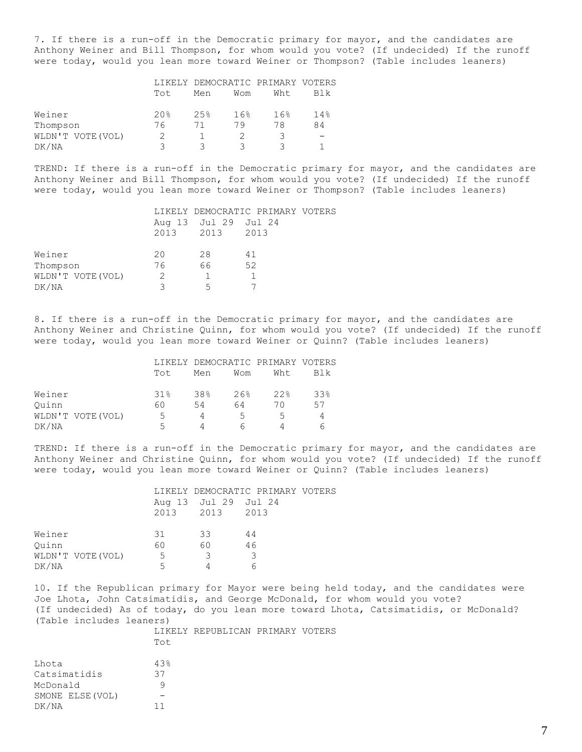7. If there is a run-off in the Democratic primary for mayor, and the candidates are Anthony Weiner and Bill Thompson, for whom would you vote? (If undecided) If the runoff were today, would you lean more toward Weiner or Thompson? (Table includes leaners)

|                   |                 | LIKELY DEMOCRATIC PRIMARY VOTERS |     |      |     |
|-------------------|-----------------|----------------------------------|-----|------|-----|
|                   | Tot.            | Men                              | Wom | Wht. | Blk |
| Weiner            | 20 <sup>8</sup> | 2.5%                             | 16% | 16%  | 14% |
| Thompson          | 76              |                                  | 79  | 78   | 84  |
| WLDN'T VOTE (VOL) |                 |                                  |     |      |     |
| DK/NA             |                 |                                  |     |      |     |

TREND: If there is a run-off in the Democratic primary for mayor, and the candidates are Anthony Weiner and Bill Thompson, for whom would you vote? (If undecided) If the runoff were today, would you lean more toward Weiner or Thompson? (Table includes leaners)

|                   |    |                      | LIKELY DEMOCRATIC PRIMARY VOTERS |  |
|-------------------|----|----------------------|----------------------------------|--|
|                   |    | Aug 13 Jul 29 Jul 24 |                                  |  |
|                   |    | 2013 2013 2013       |                                  |  |
|                   |    |                      |                                  |  |
| Weiner            | 20 | 28                   | 41                               |  |
| Thompson          | 76 | 66                   | 52                               |  |
| WLDN'T VOTE (VOL) | 2  |                      |                                  |  |
| DK/NA             |    | ↳                    |                                  |  |

8. If there is a run-off in the Democratic primary for mayor, and the candidates are Anthony Weiner and Christine Quinn, for whom would you vote? (If undecided) If the runoff were today, would you lean more toward Weiner or Quinn? (Table includes leaners)

|                   |                          | LIKELY DEMOCRATIC PRIMARY VOTERS |        |      |     |
|-------------------|--------------------------|----------------------------------|--------|------|-----|
|                   | Tot.                     | Men                              | Wom    | Wht. | Blk |
| Weiner            | 31%                      | 38%                              | $26$ . | 22.8 | 33% |
| Ouinn             | 60                       | 54                               | 64     | 70   | 57  |
| WLDN'T VOTE (VOL) | 5.                       |                                  | 5      | ∽    |     |
| DK/NA             | $\overline{\phantom{a}}$ |                                  |        |      |     |

TREND: If there is a run-off in the Democratic primary for mayor, and the candidates are Anthony Weiner and Christine Quinn, for whom would you vote? (If undecided) If the runoff were today, would you lean more toward Weiner or Quinn? (Table includes leaners)

|                   |    | Aug 13 Jul 29 Jul 24 | LIKELY DEMOCRATIC PRIMARY VOTERS |
|-------------------|----|----------------------|----------------------------------|
|                   |    | 2013 2013 2013       |                                  |
| Weiner            | 31 | 33                   | 44                               |
| Ouinn             | 60 | 60                   | 46                               |
| WLDN'T VOTE (VOL) | 5  | -3                   |                                  |
| DK/NA             | 5  |                      |                                  |

10. If the Republican primary for Mayor were being held today, and the candidates were Joe Lhota, John Catsimatidis, and George McDonald, for whom would you vote? (If undecided) As of today, do you lean more toward Lhota, Catsimatidis, or McDonald? (Table includes leaners)

| Tot |  |                                  |
|-----|--|----------------------------------|
| 43% |  |                                  |
| 37  |  |                                  |
| 9   |  |                                  |
|     |  |                                  |
|     |  |                                  |
|     |  | LIKELY REPUBLICAN PRIMARY VOTERS |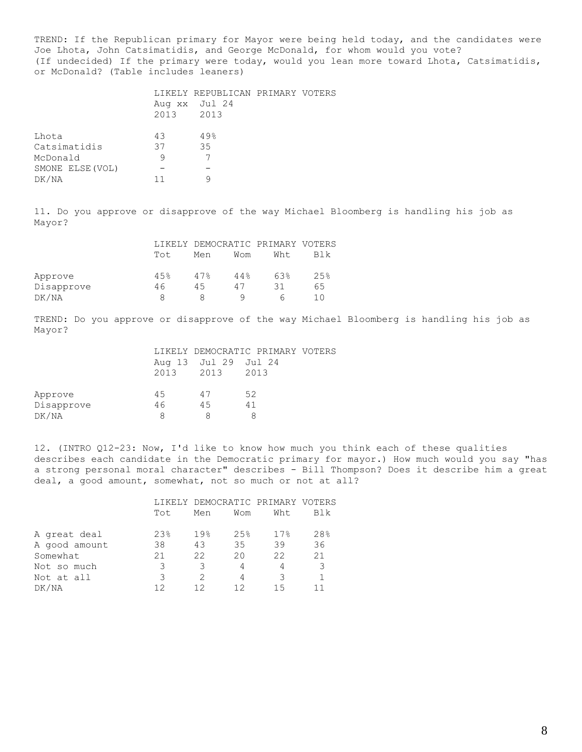TREND: If the Republican primary for Mayor were being held today, and the candidates were Joe Lhota, John Catsimatidis, and George McDonald, for whom would you vote? (If undecided) If the primary were today, would you lean more toward Lhota, Catsimatidis, or McDonald? (Table includes leaners)

|                  |           | LIKELY REPUBLICAN PRIMARY VOTERS |  |
|------------------|-----------|----------------------------------|--|
|                  |           | Aug xx Jul 24                    |  |
|                  | 2013 2013 |                                  |  |
|                  |           |                                  |  |
| Lhota            | 43        | 49%                              |  |
| Catsimatidis     | 37        | 35                               |  |
| McDonald         | 9         |                                  |  |
| SMONE ELSE (VOL) |           |                                  |  |
| DK/NA            |           |                                  |  |
|                  |           |                                  |  |

11. Do you approve or disapprove of the way Michael Bloomberg is handling his job as Mayor?

|            |      | LIKELY DEMOCRATIC PRIMARY VOTERS |     |      |      |
|------------|------|----------------------------------|-----|------|------|
|            | Tot. | Men                              | Wom | Wht. | Blk  |
| Approve    | 45%  | 47%                              | 44% | 63%  | 2.5% |
| Disapprove | 46   | 45                               | 47  | 31   | 65   |
| DK/NA      |      |                                  |     |      |      |

TREND: Do you approve or disapprove of the way Michael Bloomberg is handling his job as Mayor?

|            |    |                      | LIKELY DEMOCRATIC PRIMARY VOTERS |  |
|------------|----|----------------------|----------------------------------|--|
|            |    | Aug 13 Jul 29 Jul 24 |                                  |  |
|            |    | 2013 2013 2013       |                                  |  |
|            |    |                      |                                  |  |
| Approve    | 45 | 47                   | 52                               |  |
| Disapprove | 46 | 45                   | 41                               |  |
| DK/NA      | 8  |                      |                                  |  |
|            |    |                      |                                  |  |

12. (INTRO Q12-23: Now, I'd like to know how much you think each of these qualities describes each candidate in the Democratic primary for mayor.) How much would you say "has a strong personal moral character" describes - Bill Thompson? Does it describe him a great deal, a good amount, somewhat, not so much or not at all?

|               |     | LIKELY DEMOCRATIC PRIMARY VOTERS |     |      |     |
|---------------|-----|----------------------------------|-----|------|-----|
|               | Tot | Men                              | Wom | Wht. | Blk |
|               |     |                                  |     |      |     |
| A great deal  | 23% | 19%                              | 25% | 17%  | 28% |
| A good amount | 38  | 43                               | 35  | 39   | 36  |
| Somewhat      | 21  | 22                               | 20  | 22   | 21  |
| Not so much   |     | 3                                | 4   | 4    |     |
| Not at all    | 3   | $\mathcal{P}$                    | 4   | 3    |     |
| DK/NA         |     |                                  | 1 2 | 15   |     |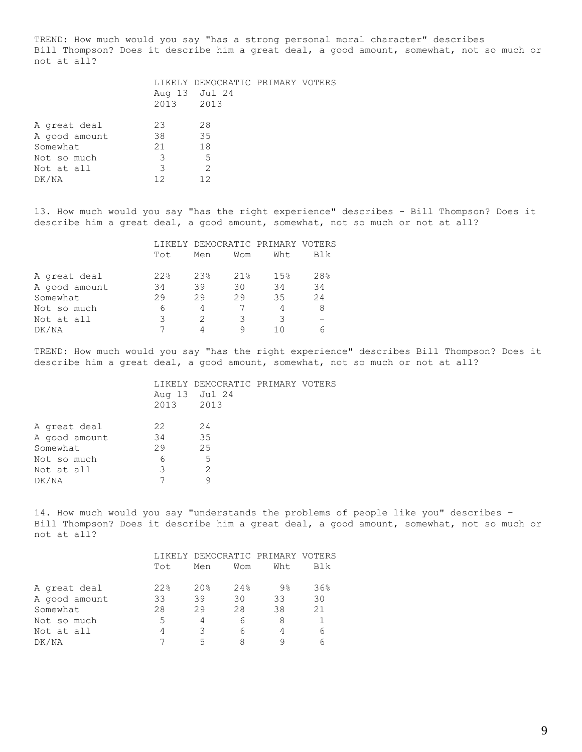TREND: How much would you say "has a strong personal moral character" describes Bill Thompson? Does it describe him a great deal, a good amount, somewhat, not so much or not at all?

|                                                          | 2013 2013           | LIKELY DEMOCRATIC PRIMARY VOTERS<br>Aug 13 Jul 24 |  |
|----------------------------------------------------------|---------------------|---------------------------------------------------|--|
| A great deal<br>A good amount<br>Somewhat<br>Not so much | 23<br>38<br>21<br>3 | 28<br>35<br>18<br>.5                              |  |
| Not at all<br>DK/NA                                      | 3<br>12             | 2<br>12                                           |  |

13. How much would you say "has the right experience" describes - Bill Thompson? Does it describe him a great deal, a good amount, somewhat, not so much or not at all?

|               |     | LIKELY DEMOCRATIC PRIMARY VOTERS |     |     |     |  |
|---------------|-----|----------------------------------|-----|-----|-----|--|
|               | Tot | Men                              | Wom | Wht | Blk |  |
| A great deal  | 22% | 23%                              | 21% | 15% | 28% |  |
| A good amount | 34  | 39                               | 30  | 34  | 34  |  |
| Somewhat      | 29  | 29                               | 29  | 35  | 24  |  |
| Not so much   | 6   | 4                                |     |     |     |  |
| Not at all    | 3   | 2                                | 3   | 3   |     |  |
| DK/NA         |     |                                  |     |     |     |  |

TREND: How much would you say "has the right experience" describes Bill Thompson? Does it describe him a great deal, a good amount, somewhat, not so much or not at all?

| 22<br>34 | 24<br>35      |                                  |                                  |
|----------|---------------|----------------------------------|----------------------------------|
| 29       |               |                                  |                                  |
| 6        | .5            |                                  |                                  |
| 3        | $\mathcal{L}$ |                                  |                                  |
|          |               |                                  |                                  |
|          |               | Aug 13 Jul 24<br>2013 2013<br>25 | LIKELY DEMOCRATIC PRIMARY VOTERS |

14. How much would you say "understands the problems of people like you" describes – Bill Thompson? Does it describe him a great deal, a good amount, somewhat, not so much or not at all?

|               | Tot | Men             | Wom | LIKELY DEMOCRATIC PRIMARY VOTERS<br>Wht | Blk |
|---------------|-----|-----------------|-----|-----------------------------------------|-----|
| A great deal  | 22% | 20 <sub>8</sub> | 24% | $9\%$                                   | 36% |
| A good amount | 33  | 39              | 30  | 33                                      | 30  |
| Somewhat      | 28  | 29              | 28  | 38                                      | 21  |
| Not so much   | 5   | 4               | 6   |                                         |     |
| Not at all    |     | 3               | 6   |                                         |     |
| DK/NA         |     | 5               | 8   |                                         |     |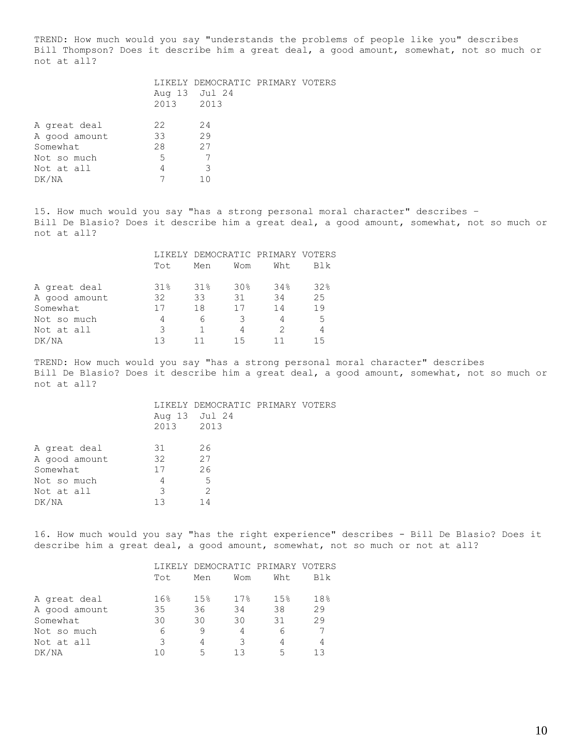TREND: How much would you say "understands the problems of people like you" describes Bill Thompson? Does it describe him a great deal, a good amount, somewhat, not so much or not at all?

| 22 | 24  |                            |                                  |
|----|-----|----------------------------|----------------------------------|
| 33 | 29  |                            |                                  |
| 28 | 27  |                            |                                  |
| 5  |     |                            |                                  |
| 4  | 3   |                            |                                  |
|    | 1 N |                            |                                  |
|    |     | Aug 13 Jul 24<br>2013 2013 | LIKELY DEMOCRATIC PRIMARY VOTERS |

15. How much would you say "has a strong personal moral character" describes – Bill De Blasio? Does it describe him a great deal, a good amount, somewhat, not so much or not at all?

|               |     | LIKELY DEMOCRATIC PRIMARY VOTERS |                 |     |     |
|---------------|-----|----------------------------------|-----------------|-----|-----|
|               | Tot | Men                              | Wom             | Wht | Blk |
| A great deal  | 31% | 31%                              | 30 <sub>8</sub> | 34% | 32% |
| A good amount | 32  | 33                               | 31              | 34  | 2.5 |
| Somewhat      |     | 18                               | 17              | 14  | 19  |
| Not so much   | 4   | 6                                | 3               | 4   | .5  |
| Not at all    | 3   |                                  | 4               | 2   | 4   |
| DK/NA         |     |                                  | 15              |     | 15  |

TREND: How much would you say "has a strong personal moral character" describes Bill De Blasio? Does it describe him a great deal, a good amount, somewhat, not so much or not at all?

> LIKELY DEMOCRATIC PRIMARY VOTERS Aug 13 Jul 24 2013 2013

| A great deal  | 31 | 26 |
|---------------|----|----|
| A good amount | 32 | 27 |
| Somewhat      | 17 | 26 |
| Not so much   |    | 5  |
| Not at all    | २  | 2  |
| DK/NA         | 13 | 14 |

16. How much would you say "has the right experience" describes - Bill De Blasio? Does it describe him a great deal, a good amount, somewhat, not so much or not at all?

|               |       |     | LIKELY DEMOCRATIC PRIMARY VOTERS |      |     |  |
|---------------|-------|-----|----------------------------------|------|-----|--|
|               | Tot   | Men | Wom                              | Wht. | Blk |  |
| A great deal  | 16%   | 15% | 17%                              | 15%  | 18% |  |
| A good amount | 35    | 36  | 34                               | 38   | 29  |  |
| Somewhat      | 30    | 30  | 30                               | 31   | 29  |  |
| Not so much   | 6     | 9   | 4                                | 6    |     |  |
| Not at all    | 3     | 4   | २                                | 4    |     |  |
| DK/NA         | 7 ( ) | 5   | 1 २                              | 5    | 1 २ |  |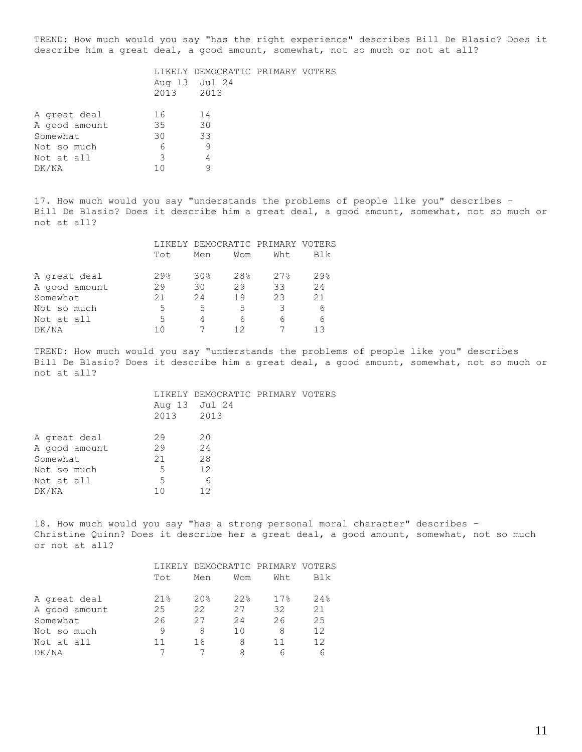TREND: How much would you say "has the right experience" describes Bill De Blasio? Does it describe him a great deal, a good amount, somewhat, not so much or not at all?

|                                           | 2013 2013      | LIKELY DEMOCRATIC PRIMARY VOTERS<br>Aug 13 Jul 24 |  |
|-------------------------------------------|----------------|---------------------------------------------------|--|
| A great deal<br>A good amount<br>Somewhat | 16<br>35<br>30 | 14<br>30<br>33                                    |  |
| Not so much<br>Not at all<br>DK/NA        | 6<br>3<br>1 ∩  | 9<br>4                                            |  |
|                                           |                |                                                   |  |

17. How much would you say "understands the problems of people like you" describes – Bill De Blasio? Does it describe him a great deal, a good amount, somewhat, not so much or not at all?

|               |      | LIKELY DEMOCRATIC PRIMARY VOTERS |     |      |                   |  |
|---------------|------|----------------------------------|-----|------|-------------------|--|
|               | Tot  | Men                              | Wom | Wht. | Blk               |  |
| A great deal  | 29.8 | 30 <sub>8</sub>                  | 28% | 27%  | $29$ <sup>2</sup> |  |
| A good amount | 29   | 30                               | 29  | 33   | 24                |  |
| Somewhat      | 21   | 2.4                              | 19  | 23   | 21                |  |
| Not so much   | 5    | 5                                | 5   |      | 6                 |  |
| Not at all    | 5    | 4                                | 6   | 6    | 6                 |  |
| DK/NA         |      |                                  |     |      | 1 २               |  |

TREND: How much would you say "understands the problems of people like you" describes Bill De Blasio? Does it describe him a great deal, a good amount, somewhat, not so much or not at all?

| LIKELY DEMOCRATIC PRIMARY VOTERS |  |  |
|----------------------------------|--|--|
| Aug 13 Jul 24<br>2013 2013       |  |  |
|                                  |  |  |

| 29  | 20 |
|-----|----|
| 29  | 24 |
| 21  | 28 |
| 5   | 12 |
| 5   | h  |
| 1 N | 12 |
|     |    |

18. How much would you say "has a strong personal moral character" describes – Christine Quinn? Does it describe her a great deal, a good amount, somewhat, not so much or not at all?

|               | LIKELY DEMOCRATIC PRIMARY VOTERS |                 |     |      |     |
|---------------|----------------------------------|-----------------|-----|------|-----|
|               | Tot                              | Men             | Wom | Wht. | Blk |
| A great deal  | 21%                              | 20 <sub>8</sub> | 22% | 17%  | 24% |
| A good amount | 25                               | 22              | 27  | 32   | 21  |
| Somewhat      | 26                               | 27              | 2.4 | 26   | 2.5 |
| Not so much   | 9                                | 8               | 10  | 8    | 12  |
| Not at all    |                                  | 16              | 8   |      | 12  |
| DK/NA         |                                  |                 | 8   | ค    |     |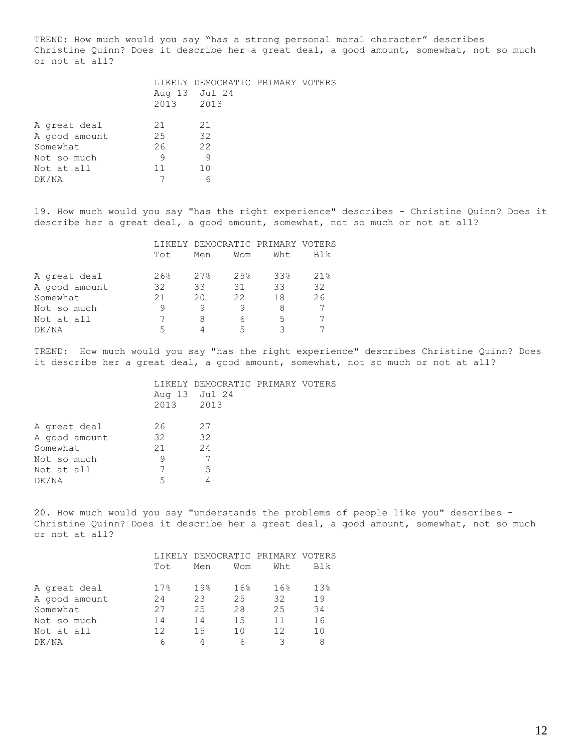TREND: How much would you say "has a strong personal moral character" describes Christine Quinn? Does it describe her a great deal, a good amount, somewhat, not so much or not at all?

|               | 2013 2013 | LIKELY DEMOCRATIC PRIMARY VOTERS<br>Aug 13 Jul 24 |  |
|---------------|-----------|---------------------------------------------------|--|
| A great deal  | 21        | 21                                                |  |
| A good amount | 25        | 32                                                |  |
| Somewhat      | 26        | 22                                                |  |
| Not so much   | 9         | 9                                                 |  |
| Not at all    | 11        | 10                                                |  |
| DK/NA         |           |                                                   |  |
|               |           |                                                   |  |

19. How much would you say "has the right experience" describes - Christine Quinn? Does it describe her a great deal, a good amount, somewhat, not so much or not at all?

|               |     | LIKELY DEMOCRATIC PRIMARY VOTERS |      |     |     |
|---------------|-----|----------------------------------|------|-----|-----|
|               | Tot | Men                              | Wom  | Wht | Blk |
| A great deal  | 26% | 27%                              | 2.5% | 33% | 21% |
| A good amount | 32  | 33                               | 31   | 33  | 32  |
| Somewhat      | 21  | 20                               | 22   | 18  | 26  |
| Not so much   |     |                                  |      |     |     |
| Not at all    |     | 8                                | 6    | 5   |     |
| DK/NA         |     |                                  | 5    |     |     |

TREND: How much would you say "has the right experience" describes Christine Quinn? Does it describe her a great deal, a good amount, somewhat, not so much or not at all?

|                                           | 2013 2013      | LIKELY DEMOCRATIC PRIMARY VOTERS<br>Aug 13 Jul 24 |  |
|-------------------------------------------|----------------|---------------------------------------------------|--|
| A great deal<br>A good amount<br>Somewhat | 26<br>32<br>21 | 27<br>32<br>24                                    |  |
| Not so much<br>Not at all<br>DK/NA        | 9<br>5         | .5                                                |  |

20. How much would you say "understands the problems of people like you" describes - Christine Quinn? Does it describe her a great deal, a good amount, somewhat, not so much or not at all?

|               | Tot  | Men             | Wom | LIKELY DEMOCRATIC PRIMARY VOTERS<br>Wht. | Blk             |
|---------------|------|-----------------|-----|------------------------------------------|-----------------|
| A great deal  | 17.8 | 19 <sub>8</sub> | 16% | 16 <sup>°</sup>                          | 13 <sup>8</sup> |
| A good amount | 24   | 23              | 25  | 32                                       | 19              |
| Somewhat      | 27   | 25              | 28  | 25                                       | 34              |
| Not so much   | 14   | 14              | 1.5 | 11                                       | 16              |
| Not at all    | 12   | 15              | 1 N | 12                                       | 1 <sub>0</sub>  |
| DK/NA         |      |                 | 6   |                                          |                 |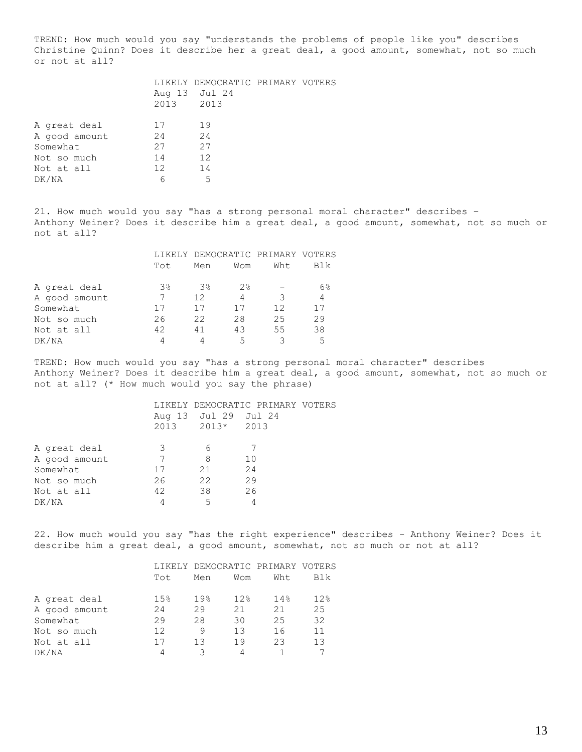TREND: How much would you say "understands the problems of people like you" describes Christine Quinn? Does it describe her a great deal, a good amount, somewhat, not so much or not at all?

| 17              | 19 |                            |                                  |
|-----------------|----|----------------------------|----------------------------------|
| 24              | 24 |                            |                                  |
| 27              | 27 |                            |                                  |
| 14              | 12 |                            |                                  |
| 12 <sup>2</sup> | 14 |                            |                                  |
| 6               | .5 |                            |                                  |
|                 |    | Aug 13 Jul 24<br>2013 2013 | LIKELY DEMOCRATIC PRIMARY VOTERS |

21. How much would you say "has a strong personal moral character" describes – Anthony Weiner? Does it describe him a great deal, a good amount, somewhat, not so much or not at all?

|               |     | LIKELY DEMOCRATIC PRIMARY VOTERS |     |     |     |
|---------------|-----|----------------------------------|-----|-----|-----|
|               | Tot | Men                              | Wom | Wht | Blk |
| A great deal  | 3%  | $3\%$                            | 2%  |     | 6%  |
| A good amount |     | 12                               | 4   | 3   | 4   |
| Somewhat      |     | 17                               | 17  | 12  | 17  |
| Not so much   | 26  | 22                               | 28  | 25  | 29  |
| Not at all    | 42  | 41                               | 43  | 55  | 38  |
| DK/NA         |     |                                  | 5   |     | 5   |

TREND: How much would you say "has a strong personal moral character" describes Anthony Weiner? Does it describe him a great deal, a good amount, somewhat, not so much or not at all? (\* How much would you say the phrase)

|               |    |                      | LIKELY DEMOCRATIC PRIMARY VOTERS |
|---------------|----|----------------------|----------------------------------|
|               |    | Aug 13 Jul 29 Jul 24 |                                  |
|               |    | 2013 2013* 2013      |                                  |
| A great deal  | 3  | h                    |                                  |
|               |    |                      |                                  |
| A good amount |    | 8                    | 10                               |
| Somewhat      | 17 | 21                   | 24                               |
| Not so much   | 26 | 22                   | 29                               |
| Not at all    | 42 | 38                   | 26                               |
| DK/NA         |    | 5                    |                                  |

22. How much would you say "has the right experience" describes - Anthony Weiner? Does it describe him a great deal, a good amount, somewhat, not so much or not at all?

|               |     | LIKELY DEMOCRATIC PRIMARY VOTERS |      |      |     |
|---------------|-----|----------------------------------|------|------|-----|
|               | Tot | Men                              | Wom  | Wht. | Blk |
| A great deal  | 15% | 19%                              | 12.8 | 14%  | 12% |
| A good amount | 24  | 29                               | 21   | 21   | 2.5 |
| Somewhat      | 29  | 28                               | 30   | 25   | 32  |
| Not so much   | 12  | 9                                | 13   | 16   | 11  |
| Not at all    |     | 13                               | 19   | 23   | 13  |
| DK/NA         |     | २                                |      |      |     |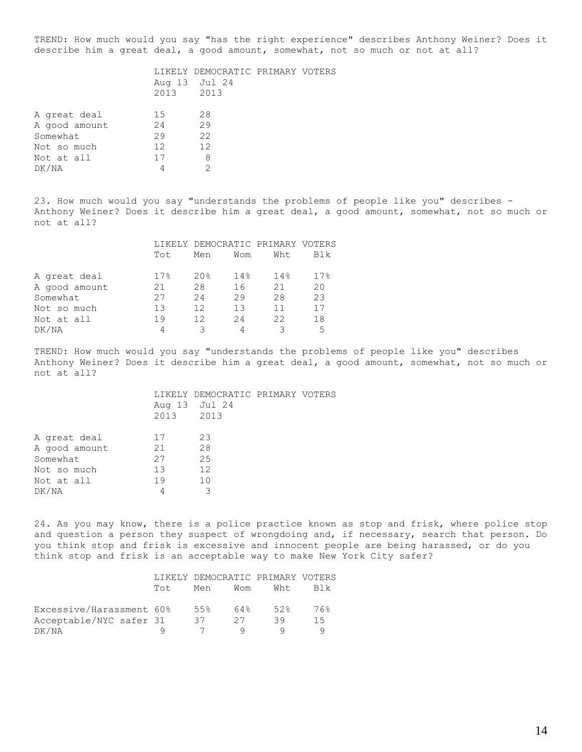TREND: How much would you say "has the right experience" describes Anthony Weiner? Does it describe him a great deal, a good amount, somewhat, not so much or not at all?

|               | 2013 2013       | LIKELY DEMOCRATIC PRIMARY VOTERS<br>Aug 13 Jul 24 |  |
|---------------|-----------------|---------------------------------------------------|--|
| A great deal  | 15              | 28                                                |  |
| A good amount | 24              | 29                                                |  |
| Somewhat      | 29              | 22                                                |  |
| Not so much   | 12 <sup>2</sup> | 12                                                |  |
| Not at all    | 17              | 8                                                 |  |
| DK/NA         | 4               |                                                   |  |
|               |                 |                                                   |  |

23. How much would you say "understands the problems of people like you" describes - Anthony Weiner? Does it describe him a great deal, a good amount, somewhat, not so much or not at all?

|               |     |                 |     | LIKELY DEMOCRATIC PRIMARY VOTERS |                 |
|---------------|-----|-----------------|-----|----------------------------------|-----------------|
|               | Tot | Men             | Wom | Wht.                             | Blk             |
| A great deal  | 17% | 20 <sub>8</sub> | 14% | 14%                              | 17 <sup>8</sup> |
| A good amount | 21  | 28              | 16  | 21                               | 20              |
| Somewhat      | 27  | 24              | 29  | 28                               | 23              |
| Not so much   | 13  | 12              | 13  | 11                               | 17              |
| Not at all    | 19  | 12              | 24  | 22                               | 18              |
| DK/NA         |     |                 |     |                                  | 5               |

TREND: How much would you say "understands the problems of people like you" describes Anthony Weiner? Does it describe him a great deal, a good amount, somewhat, not so much or not at all?

|           | LIKELY DEMOCRATIC PRIMARY VOTERS |  |
|-----------|----------------------------------|--|
|           | Aug 13 Jul 24                    |  |
| 2013 2013 |                                  |  |
|           |                                  |  |

24. As you may know, there is a police practice known as stop and frisk, where police stop and question a person they suspect of wrongdoing and, if necessary, search that person. Do you think stop and frisk is excessive and innocent people are being harassed, or do you think stop and frisk is an acceptable way to make New York City safer?

|                          |     | LIKELY DEMOCRATIC PRIMARY VOTERS |     |      |      |
|--------------------------|-----|----------------------------------|-----|------|------|
|                          | Tot | Men                              | Wom | Wht. | BI k |
| Excessive/Harassment 60% |     | 5.5%                             | 64% | 52%  | 76%  |
| Acceptable/NYC safer 31  |     | 37                               | 27  | 39   | 15   |
| DK/NA                    |     |                                  |     |      |      |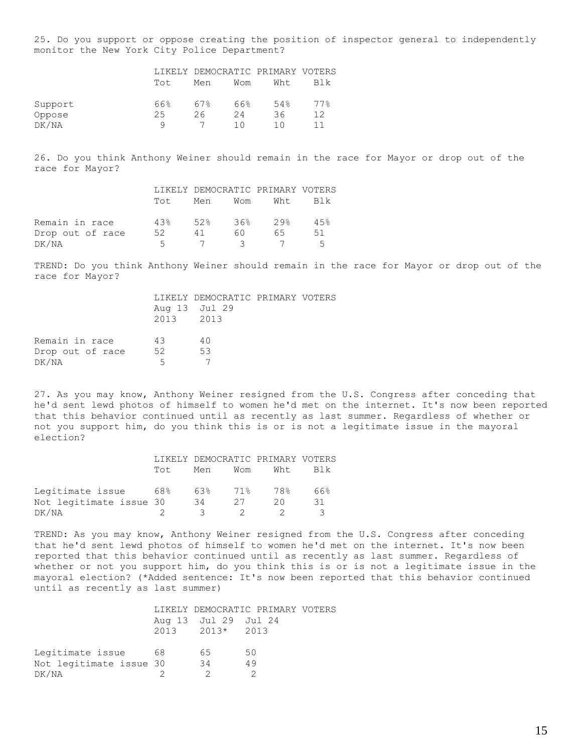25. Do you support or oppose creating the position of inspector general to independently monitor the New York City Police Department?

|         |      |     |     | LIKELY DEMOCRATIC PRIMARY VOTERS |     |
|---------|------|-----|-----|----------------------------------|-----|
|         | Tot. | Men | Wom | Wht.                             | Blk |
| Support | 66%  | 67% | 66% | 54%                              | 77% |
| Oppose  | 25   | 26  | 24  | 36                               | 12  |
| DK/NA   |      |     | 1 N | 1 N                              |     |

26. Do you think Anthony Weiner should remain in the race for Mayor or drop out of the race for Mayor?

|                  |     | LIKELY DEMOCRATIC PRIMARY VOTERS |               |                             |     |
|------------------|-----|----------------------------------|---------------|-----------------------------|-----|
|                  | Tot |                                  |               | Men Wom Wht Blk             |     |
| Remain in race   | 43% | 52% 36% 29%                      |               |                             | 45% |
| Drop out of race | 52  | 41                               | 60.           | 65.                         | 51  |
| DK/NA            | 5.  | $\overline{7}$                   | $\mathcal{R}$ | $\sim$ $\sim$ $\sim$ $\sim$ | 5   |

TREND: Do you think Anthony Weiner should remain in the race for Mayor or drop out of the race for Mayor?

|                  |           | LIKELY DEMOCRATIC PRIMARY VOTERS |  |
|------------------|-----------|----------------------------------|--|
|                  |           | Aug 13 Jul 29                    |  |
|                  | 2013 2013 |                                  |  |
|                  |           |                                  |  |
| Remain in race   | 43        | 40                               |  |
| Drop out of race | 52        | 53                               |  |
| DK/NA            | 5.        |                                  |  |
|                  |           |                                  |  |

27. As you may know, Anthony Weiner resigned from the U.S. Congress after conceding that he'd sent lewd photos of himself to women he'd met on the internet. It's now been reported that this behavior continued until as recently as last summer. Regardless of whether or not you support him, do you think this is or is not a legitimate issue in the mayoral election?

|                         | LIKELY DEMOCRATIC PRIMARY VOTERS |     |     |      |     |
|-------------------------|----------------------------------|-----|-----|------|-----|
|                         | Tot.                             | Men | Wom | Wht. | Blk |
| Legitimate issue        | 68%                              | 63% | 71% | 78%  | 66% |
| Not legitimate issue 30 |                                  | 34  | 27  | 20   | 31  |
| DK/NA                   |                                  | -3  |     |      |     |

TREND: As you may know, Anthony Weiner resigned from the U.S. Congress after conceding that he'd sent lewd photos of himself to women he'd met on the internet. It's now been reported that this behavior continued until as recently as last summer. Regardless of whether or not you support him, do you think this is or is not a legitimate issue in the mayoral election? (\*Added sentence: It's now been reported that this behavior continued until as recently as last summer)

|                         |      |                      | LIKELY DEMOCRATIC PRIMARY VOTERS |  |
|-------------------------|------|----------------------|----------------------------------|--|
|                         |      | Aug 13 Jul 29 Jul 24 |                                  |  |
|                         |      | 2013 2013* 2013      |                                  |  |
|                         |      |                      |                                  |  |
| Legitimate issue        | - 68 | 65                   | 50                               |  |
| Not legitimate issue 30 |      | 34                   | 49                               |  |
| DK/NA                   |      |                      |                                  |  |